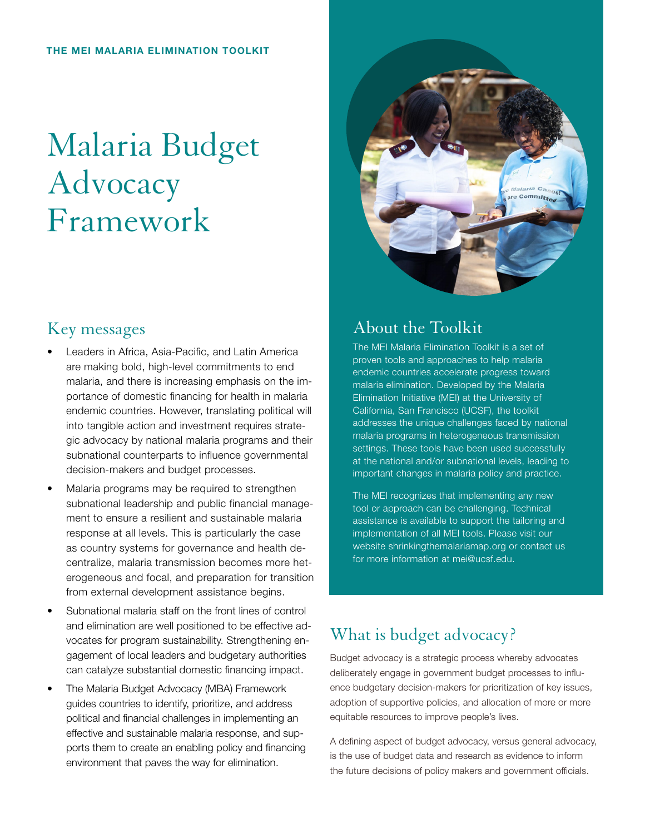# Malaria Budget **Advocacy** Framework

#### Key messages

- Leaders in Africa, Asia-Pacific, and Latin America are making bold, high-level commitments to end malaria, and there is increasing emphasis on the importance of domestic financing for health in malaria endemic countries. However, translating political will into tangible action and investment requires strategic advocacy by national malaria programs and their subnational counterparts to influence governmental decision-makers and budget processes.
- Malaria programs may be required to strengthen subnational leadership and public financial management to ensure a resilient and sustainable malaria response at all levels. This is particularly the case as country systems for governance and health decentralize, malaria transmission becomes more heterogeneous and focal, and preparation for transition from external development assistance begins.
- Subnational malaria staff on the front lines of control and elimination are well positioned to be effective advocates for program sustainability. Strengthening engagement of local leaders and budgetary authorities can catalyze substantial domestic financing impact.
- The Malaria Budget Advocacy (MBA) Framework guides countries to identify, prioritize, and address political and financial challenges in implementing an effective and sustainable malaria response, and supports them to create an enabling policy and financing environment that paves the way for elimination.



## About the Toolkit

The MEI Malaria Elimination Toolkit is a set of proven tools and approaches to help malaria endemic countries accelerate progress toward malaria elimination. Developed by the Malaria Elimination Initiative (MEI) at the University of California, San Francisco (UCSF), the toolkit addresses the unique challenges faced by national malaria programs in heterogeneous transmission settings. These tools have been used successfully at the national and/or subnational levels, leading to important changes in malaria policy and practice.

The MEI recognizes that implementing any new tool or approach can be challenging. Technical assistance is available to support the tailoring and implementation of all MEI tools. Please visit our website shrinkingthemalariamap.org or contact us for more information at mei@ucsf.edu.

## What is budget advocacy?

Budget advocacy is a strategic process whereby advocates deliberately engage in government budget processes to influence budgetary decision-makers for prioritization of key issues, adoption of supportive policies, and allocation of more or more equitable resources to improve people's lives.

A defining aspect of budget advocacy, versus general advocacy, is the use of budget data and research as evidence to inform the future decisions of policy makers and government officials.